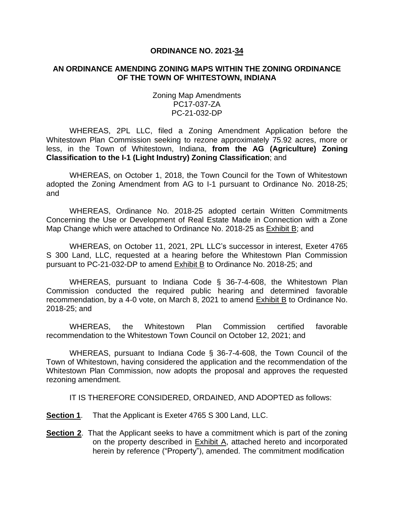## **ORDINANCE NO. 2021-34**

## **AN ORDINANCE AMENDING ZONING MAPS WITHIN THE ZONING ORDINANCE OF THE TOWN OF WHITESTOWN, INDIANA**

Zoning Map Amendments PC17-037-ZA PC-21-032-DP

WHEREAS, 2PL LLC, filed a Zoning Amendment Application before the Whitestown Plan Commission seeking to rezone approximately 75.92 acres, more or less, in the Town of Whitestown, Indiana, **from the AG (Agriculture) Zoning Classification to the I-1 (Light Industry) Zoning Classification**; and

WHEREAS, on October 1, 2018, the Town Council for the Town of Whitestown adopted the Zoning Amendment from AG to I-1 pursuant to Ordinance No. 2018-25; and

WHEREAS, Ordinance No. 2018-25 adopted certain Written Commitments Concerning the Use or Development of Real Estate Made in Connection with a Zone Map Change which were attached to Ordinance No. 2018-25 as Exhibit B; and

WHEREAS, on October 11, 2021, 2PL LLC's successor in interest, Exeter 4765 S 300 Land, LLC, requested at a hearing before the Whitestown Plan Commission pursuant to PC-21-032-DP to amend Exhibit B to Ordinance No. 2018-25; and

WHEREAS, pursuant to Indiana Code § 36-7-4-608, the Whitestown Plan Commission conducted the required public hearing and determined favorable recommendation, by a 4-0 vote, on March 8, 2021 to amend Exhibit B to Ordinance No. 2018-25; and

WHEREAS, the Whitestown Plan Commission certified favorable recommendation to the Whitestown Town Council on October 12, 2021; and

WHEREAS, pursuant to Indiana Code § 36-7-4-608, the Town Council of the Town of Whitestown, having considered the application and the recommendation of the Whitestown Plan Commission, now adopts the proposal and approves the requested rezoning amendment.

IT IS THEREFORE CONSIDERED, ORDAINED, AND ADOPTED as follows:

**Section 1**. That the Applicant is Exeter 4765 S 300 Land, LLC.

**Section 2**. That the Applicant seeks to have a commitment which is part of the zoning on the property described in **Exhibit A**, attached hereto and incorporated herein by reference ("Property"), amended. The commitment modification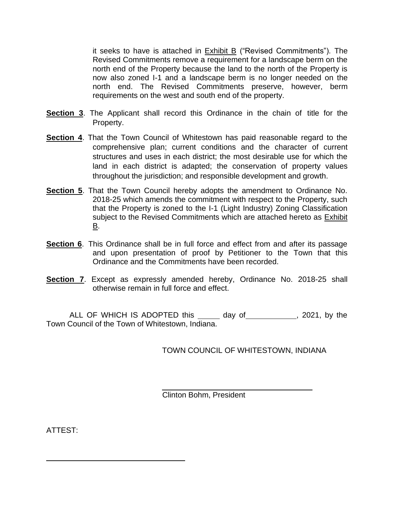it seeks to have is attached in  $Exhibit B$  ("Revised Commitments"). The Revised Commitments remove a requirement for a landscape berm on the north end of the Property because the land to the north of the Property is now also zoned I-1 and a landscape berm is no longer needed on the north end. The Revised Commitments preserve, however, berm requirements on the west and south end of the property.

- **Section 3**. The Applicant shall record this Ordinance in the chain of title for the Property.
- **Section 4**. That the Town Council of Whitestown has paid reasonable regard to the comprehensive plan; current conditions and the character of current structures and uses in each district; the most desirable use for which the land in each district is adapted; the conservation of property values throughout the jurisdiction; and responsible development and growth.
- **Section 5**. That the Town Council hereby adopts the amendment to Ordinance No. 2018-25 which amends the commitment with respect to the Property, such that the Property is zoned to the I-1 (Light Industry) Zoning Classification subject to the Revised Commitments which are attached hereto as Exhibit B.
- **Section 6.** This Ordinance shall be in full force and effect from and after its passage and upon presentation of proof by Petitioner to the Town that this Ordinance and the Commitments have been recorded.
- **Section 7.** Except as expressly amended hereby, Ordinance No. 2018-25 shall otherwise remain in full force and effect.

ALL OF WHICH IS ADOPTED this \_\_\_\_\_\_ day of \_\_\_\_\_\_\_\_\_\_\_, 2021, by the Town Council of the Town of Whitestown, Indiana.

TOWN COUNCIL OF WHITESTOWN, INDIANA

Clinton Bohm, President

ATTEST: